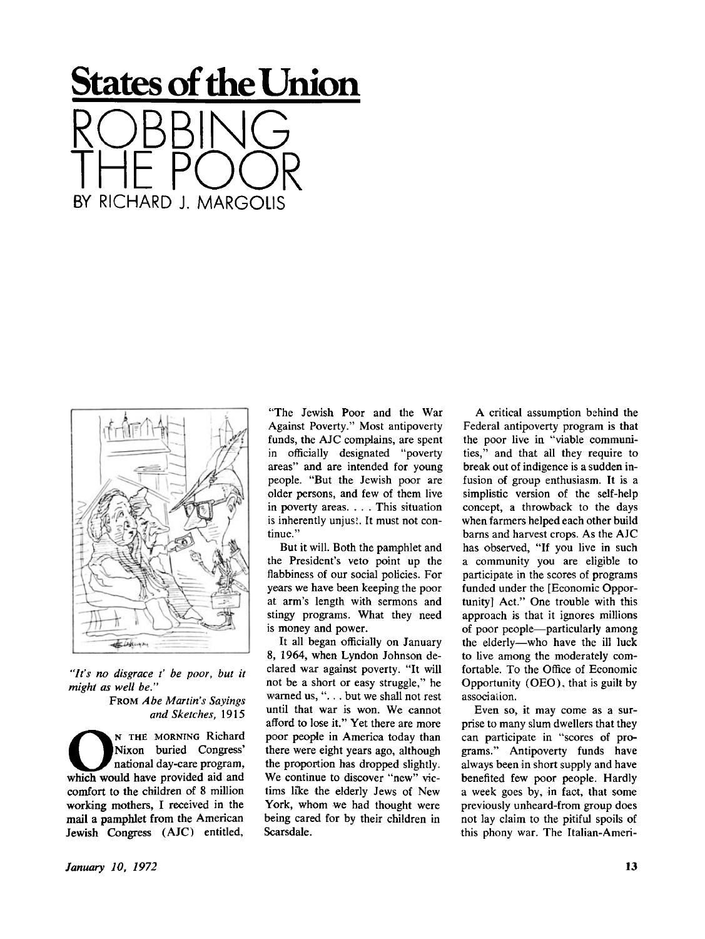## **States of the Union**  RUBBING I HE POOR BY RICHARD 1 MARGOLIS



*"It's no disgrace t' be poor, but it might as well be."* 

> FROM Abe Martin's Sayings *and Sketches,* 1915

**O**<br>
Nixon buried Congress'<br>
national day-care program,<br>
which would have provided aid and N THE MORNING Richard Nixon buried Congress' national day-care program, comfort to the children of 8 million working mothers, I received in the mail a pamphlet from the American Jewish Congress (AJC) entitled,

"The Jewish Poor and the War Against Poverty." Most antipoverty funds, the AJC complains, are spent in officially designated "poverty areas" and are intended for young people. "But the Jewish poor are older persons, and few of them live in poverty areas. . . . This situation is inherently unjust. It must not continue."

But it will. Both the pamphlet and the President's veto point up the flabbiness of our social policies. For years we have been keeping the poor at arm's length with sermons and stingy programs. What they need is money and power.

It all began officially on January 8, 1964, when Lyndon Johnson declared war against poverty. "It will not be a short or easy struggle," he warned us, ". . . but we shall not rest until that war is won. We cannot afford to lose it." Yet there are more poor people in America today than there were eight years ago, although the proportion has dropped slightly. We continue to discover "new" victims like the elderly Jews of New York, whom we had thought were being cared for by their children in Scarsdale.

A critical assumption behind the Federal antipoverty program is that the poor live in "viable communities," and that all they require to break out of indigence is a sudden infusion of group enthusiasm. It is a simplistic version of the self-help concept, a throwback to the days when farmers helped each other build barns and harvest crops. As the AJC has observed, "If you live in such a community you are eligible to participate in the scores of programs funded under the [Economic Opportunity] Act." One trouble with this approach is that it ignores millions of poor people—particularly among the elderly—who have the ill luck to live among the moderately comfortable. To the Office of Economic Opportunity (OEO), that is guilt by association.

Even so, it may come as a surprise to many slum dwellers that they can participate in "scores of programs." Antipoverty funds have always been in short supply and have benefited few poor people. Hardly a week goes by, in fact, that some previously unheard-from group does not lay claim to the pitiful spoils of this phony war. The Italian-Ameri